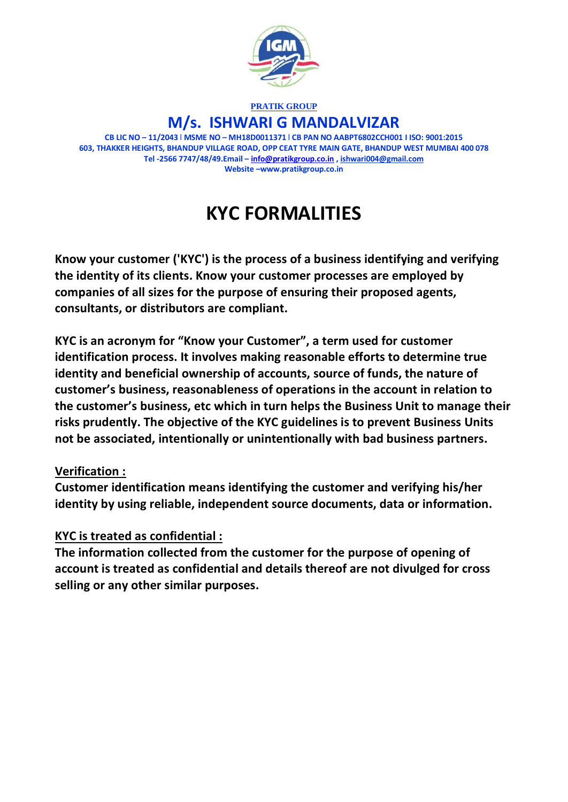

### **PRATIK GROUP M/s. ISHWARI G MANDALVIZAR**

**CB LIC NO – 11/2043** l **MSME NO – MH18D0011371** l **CB PAN NO AABPT6802CCH001 I ISO: 9001:2015 603, THAKKER HEIGHTS, BHANDUP VILLAGE ROAD, OPP CEAT TYRE MAIN GATE, BHANDUP WEST MUMBAI 400 078 Tel -2566 7747/48/49.Email – [info@pratikgroup.co.in](mailto:info@pratikgroup.co.in) , ishwari004@gmail.com Website –www.pratikgroup.co.in**

# **KYC FORMALITIES**

**Know your customer ('KYC') is the process of a business identifying and verifying the identity of its clients. Know your customer processes are employed by companies of all sizes for the purpose of ensuring their proposed agents, consultants, or distributors are compliant.** 

**KYC is an acronym for "Know your Customer", a term used for customer identification process. It involves making reasonable efforts to determine true identity and beneficial ownership of accounts, source of funds, the nature of customer's business, reasonableness of operations in the account in relation to the customer's business, etc which in turn helps the Business Unit to manage their risks prudently. The objective of the KYC guidelines is to prevent Business Units not be associated, intentionally or unintentionally with bad business partners.**

#### **Verification :**

**Customer identification means identifying the customer and verifying his/her identity by using reliable, independent source documents, data or information.** 

## **KYC is treated as confidential :**

**The information collected from the customer for the purpose of opening of account is treated as confidential and details thereof are not divulged for cross selling or any other similar purposes.**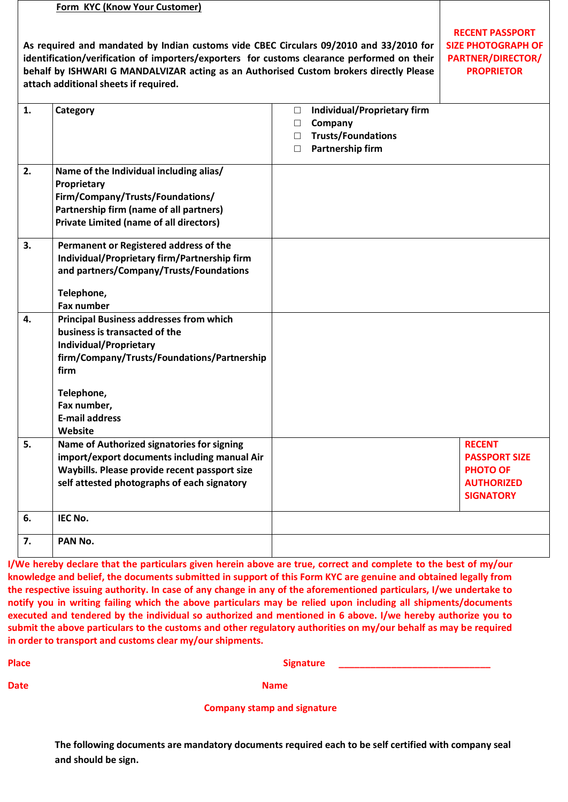|    | Form KYC (Know Your Customer)                                                                                                                                                                                                                                                                                            |                                                                                                      |                                                                                                |                                                                                                   |
|----|--------------------------------------------------------------------------------------------------------------------------------------------------------------------------------------------------------------------------------------------------------------------------------------------------------------------------|------------------------------------------------------------------------------------------------------|------------------------------------------------------------------------------------------------|---------------------------------------------------------------------------------------------------|
|    | As required and mandated by Indian customs vide CBEC Circulars 09/2010 and 33/2010 for<br>identification/verification of importers/exporters for customs clearance performed on their<br>behalf by ISHWARI G MANDALVIZAR acting as an Authorised Custom brokers directly Please<br>attach additional sheets if required. | <b>RECENT PASSPORT</b><br><b>SIZE PHOTOGRAPH OF</b><br><b>PARTNER/DIRECTOR/</b><br><b>PROPRIETOR</b> |                                                                                                |                                                                                                   |
| 1. | Category                                                                                                                                                                                                                                                                                                                 | $\Box$<br>□<br>$\Box$<br>$\Box$                                                                      | <b>Individual/Proprietary firm</b><br>Company<br><b>Trusts/Foundations</b><br>Partnership firm |                                                                                                   |
| 2. | Name of the Individual including alias/<br>Proprietary<br>Firm/Company/Trusts/Foundations/<br>Partnership firm (name of all partners)<br><b>Private Limited (name of all directors)</b>                                                                                                                                  |                                                                                                      |                                                                                                |                                                                                                   |
| 3. | Permanent or Registered address of the<br>Individual/Proprietary firm/Partnership firm<br>and partners/Company/Trusts/Foundations<br>Telephone,<br><b>Fax number</b>                                                                                                                                                     |                                                                                                      |                                                                                                |                                                                                                   |
| 4. | <b>Principal Business addresses from which</b><br>business is transacted of the<br>Individual/Proprietary<br>firm/Company/Trusts/Foundations/Partnership<br>firm<br>Telephone,<br>Fax number,<br><b>E-mail address</b><br>Website                                                                                        |                                                                                                      |                                                                                                |                                                                                                   |
| 5. | Name of Authorized signatories for signing<br>import/export documents including manual Air<br>Waybills. Please provide recent passport size<br>self attested photographs of each signatory                                                                                                                               |                                                                                                      |                                                                                                | <b>RECENT</b><br><b>PASSPORT SIZE</b><br><b>PHOTO OF</b><br><b>AUTHORIZED</b><br><b>SIGNATORY</b> |
| 6. | IEC No.                                                                                                                                                                                                                                                                                                                  |                                                                                                      |                                                                                                |                                                                                                   |
| 7. | PAN No.                                                                                                                                                                                                                                                                                                                  |                                                                                                      |                                                                                                |                                                                                                   |

**I/We hereby declare that the particulars given herein above are true, correct and complete to the best of my/our knowledge and belief, the documents submitted in support of this Form KYC are genuine and obtained legally from the respective issuing authority. In case of any change in any of the aforementioned particulars, I/we undertake to notify you in writing failing which the above particulars may be relied upon including all shipments/documents executed and tendered by the individual so authorized and mentioned in 6 above. I/we hereby authorize you to submit the above particulars to the customs and other regulatory authorities on my/our behalf as may be required in order to transport and customs clear my/our shipments.** 

Place **Signature All 2016** Signature **Signature Signature Signature Signature Signature Signature Signature Signature Signature Signature Signature Signature Signature Signature Signature Sign** 

**Date** Name and Name and Name and Name and Name and Name and Name and Name and Name and Name and Name and Name and Name and Name and Name and Name and Name and Name and Name and Name and Name and Name and Name and Name and

#### **Company stamp and signature**

**The following documents are mandatory documents required each to be self certified with company seal and should be sign.**